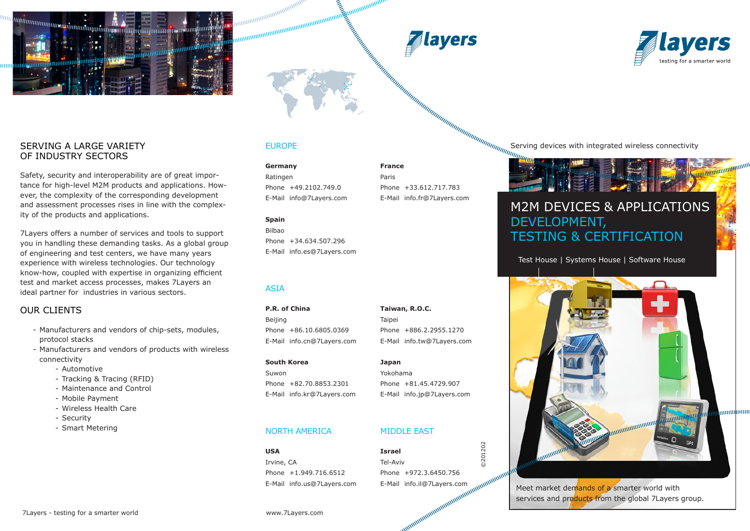

### SERVING A LARGE VARIETY OF INDUSTRY SECTORS

Safety, security and interoperability are of great importance for high-level M2M products and applications. However, the complexity of the corresponding development and assessment processes rises in line with the complexity of the products and applications.

7Layers offers a number of services and tools to support you in handling these demanding tasks. As a global group of engineering and test centers, we have many years experience with wireless technologies. Our technology know-how, coupled with expertise in organizing efficient test and market access processes, makes 7Layers an ideal partner for industries in various sectors.

### Our clients

- Manufacturers and vendors of chip-sets, modules, protocol stacks
- Manufacturers and vendors of products with wireless connectivity
	- Automotive
	- Tracking & Tracing (RFID)
	- Maintenance and Control
	- Mobile Payment
	- Wireless Health Care
	- Security
	- Smart Metering

### EUROPE

annannannannannannannannannan<br>mannannannannannannannannannan

**Germany France** Ratingen Paris Phone +49.2102.749.0 Phone +33.612.717.783 E-Mail info@7Layers.com E-Mail info.fr@7Layers.com

### **Spain**

Bilbao Phone +34.634.507.296 E-Mail info.es@7Layers.com

### ASIA

**P.R. of China Taiwan, R.O.C.** Beijing **Taipei** Phone +86.10.6805.0369 Phone +886.2.2955.1270 E-Mail info.cn@7Layers.com E-Mail info.tw@7Layers.com

**South Korea Japan**

Suwon Yokohama Phone +82.70.8853.2301 Phone +81.45.4729.907 E-Mail info.kr@7Layers.com E-Mail info.jp@7Layers.com

### NORTH AMERICA MIDDLE EAST

**USA Israel** Irvine, CA Tel-Aviv

Serving devices with integrated wireless connectivity

# M2M DEVICES & APPLICATIONS DEVELOPMENT,

## TESTING & CERTIFICATION

Test House | Systems House | Software House



Meet market demands of a smarter world with services and products from the global 7 Layers group.



Phone +1.949.716.6512 Phone +972.3.6450.756 E-Mail info.us@7Layers.com E-Mail info.il@7Layers.com

©201202

0201202